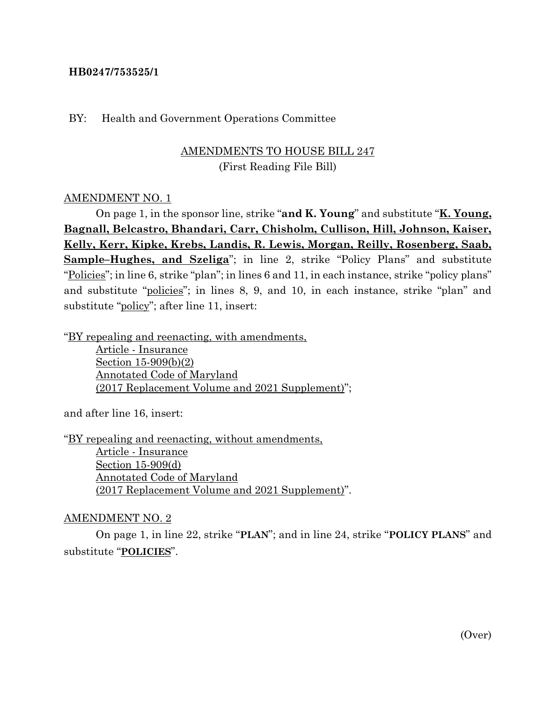### **HB0247/753525/1**

#### BY: Health and Government Operations Committee

# AMENDMENTS TO HOUSE BILL 247 (First Reading File Bill)

### AMENDMENT NO. 1

On page 1, in the sponsor line, strike "**and K. Young**" and substitute "**K. Young, Bagnall, Belcastro, Bhandari, Carr, Chisholm, Cullison, Hill, Johnson, Kaiser, Kelly, Kerr, Kipke, Krebs, Landis, R. Lewis, Morgan, Reilly, Rosenberg, Saab, Sample–Hughes, and Szeliga**"; in line 2, strike "Policy Plans" and substitute "Policies"; in line 6, strike "plan"; in lines 6 and 11, in each instance, strike "policy plans" and substitute "policies"; in lines 8, 9, and 10, in each instance, strike "plan" and substitute "policy"; after line 11, insert:

"BY repealing and reenacting, with amendments,

Article - Insurance Section 15-909(b)(2) Annotated Code of Maryland (2017 Replacement Volume and 2021 Supplement)";

and after line 16, insert:

"BY repealing and reenacting, without amendments, Article - Insurance Section 15-909(d) Annotated Code of Maryland (2017 Replacement Volume and 2021 Supplement)".

#### AMENDMENT NO. 2

On page 1, in line 22, strike "**PLAN**"; and in line 24, strike "**POLICY PLANS**" and substitute "**POLICIES**".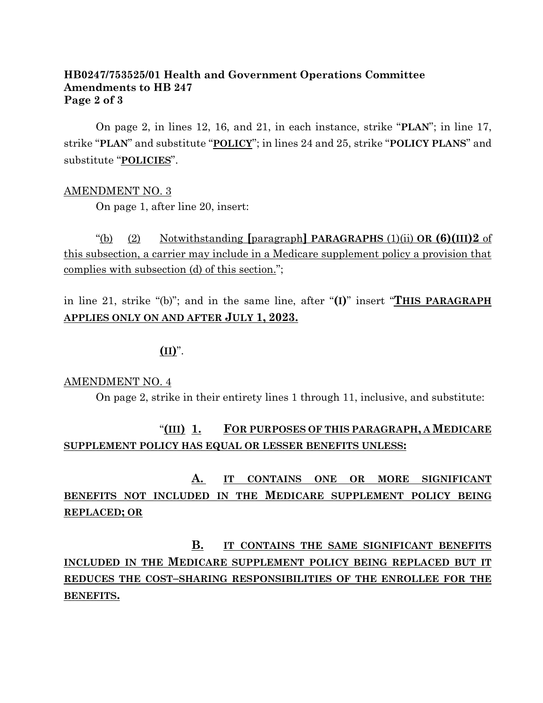### **HB0247/753525/01 Health and Government Operations Committee Amendments to HB 247 Page 2 of 3**

On page 2, in lines 12, 16, and 21, in each instance, strike "**PLAN**"; in line 17, strike "**PLAN**" and substitute "**POLICY**"; in lines 24 and 25, strike "**POLICY PLANS**" and substitute "**POLICIES**".

### AMENDMENT NO. 3

On page 1, after line 20, insert:

"(b) (2) Notwithstanding **[**paragraph**] PARAGRAPHS** (1)(ii) **OR (6)(III)2** of this subsection, a carrier may include in a Medicare supplement policy a provision that complies with subsection (d) of this section.";

in line 21, strike "(b)"; and in the same line, after "**(I)**" insert "**THIS PARAGRAPH APPLIES ONLY ON AND AFTER JULY 1, 2023.**

 $(\mathbf{II})^n$ .

#### AMENDMENT NO. 4

On page 2, strike in their entirety lines 1 through 11, inclusive, and substitute:

# "**(III) 1. FOR PURPOSES OF THIS PARAGRAPH, A MEDICARE SUPPLEMENT POLICY HAS EQUAL OR LESSER BENEFITS UNLESS:**

# **A. IT CONTAINS ONE OR MORE SIGNIFICANT BENEFITS NOT INCLUDED IN THE MEDICARE SUPPLEMENT POLICY BEING REPLACED; OR**

**B. IT CONTAINS THE SAME SIGNIFICANT BENEFITS INCLUDED IN THE MEDICARE SUPPLEMENT POLICY BEING REPLACED BUT IT REDUCES THE COST–SHARING RESPONSIBILITIES OF THE ENROLLEE FOR THE BENEFITS.**